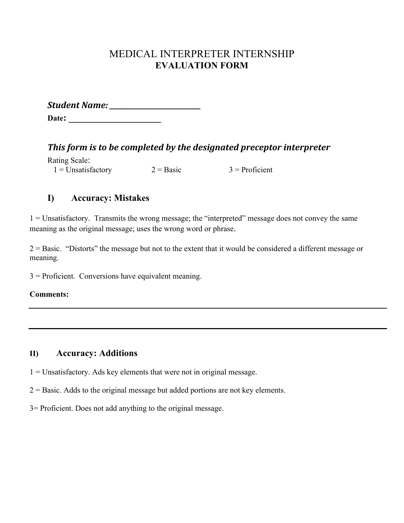# MEDICAL INTERPRETER INTERNSHIP **EVALUATION FORM**

*Student'Name:'\_\_\_\_\_\_\_\_\_\_\_\_\_\_\_\_\_\_\_\_\_\_\_\_\_\_\_\_* **Date: \_\_\_\_\_\_\_\_\_\_\_\_\_\_\_\_\_\_\_\_**

This form is to be completed by the designated preceptor interpreter

| Rating Scale:        |             |                  |
|----------------------|-------------|------------------|
| $1 =$ Unsatisfactory | $2 = Basic$ | $3$ = Proficient |

## **I) Accuracy: Mistakes**

1 = Unsatisfactory. Transmits the wrong message; the "interpreted" message does not convey the same meaning as the original message; uses the wrong word or phrase.

2 = Basic. "Distorts" the message but not to the extent that it would be considered a different message or meaning.

3 = Proficient. Conversions have equivalent meaning.

**Comments:**

## **II) Accuracy: Additions**

 $1 =$  Unsatisfactory. Ads key elements that were not in original message.

 $2 =$ Basic. Adds to the original message but added portions are not key elements.

3= Proficient. Does not add anything to the original message.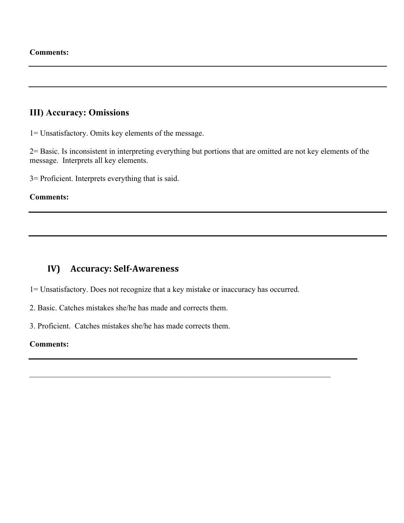### **III) Accuracy: Omissions**

1= Unsatisfactory. Omits key elements of the message.

2= Basic. Is inconsistent in interpreting everything but portions that are omitted are not key elements of the message. Interprets all key elements.

3= Proficient. Interprets everything that is said.

#### **Comments:**

### **IV)** Accuracy: Self-Awareness

1= Unsatisfactory. Does not recognize that a key mistake or inaccuracy has occurred.

 $\mathcal{L}_\text{max}$  , and the contribution of the contribution of the contribution of the contribution of the contribution of the contribution of the contribution of the contribution of the contribution of the contribution of t

2. Basic. Catches mistakes she/he has made and corrects them.

3. Proficient. Catches mistakes she/he has made corrects them.

#### **Comments:**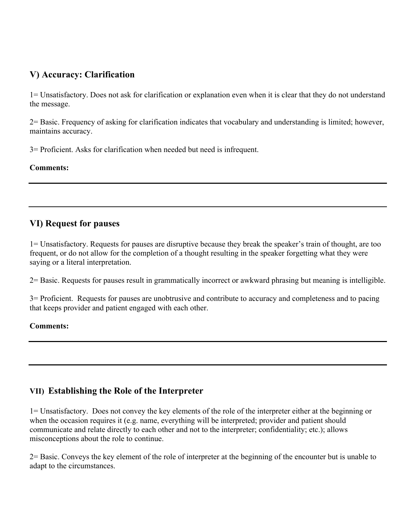# **V) Accuracy: Clarification**

1= Unsatisfactory. Does not ask for clarification or explanation even when it is clear that they do not understand the message.

2= Basic. Frequency of asking for clarification indicates that vocabulary and understanding is limited; however, maintains accuracy.

3= Proficient. Asks for clarification when needed but need is infrequent.

### **Comments:**

## **VI) Request for pauses**

1= Unsatisfactory. Requests for pauses are disruptive because they break the speaker's train of thought, are too frequent, or do not allow for the completion of a thought resulting in the speaker forgetting what they were saying or a literal interpretation.

2= Basic. Requests for pauses result in grammatically incorrect or awkward phrasing but meaning is intelligible.

3= Proficient. Requests for pauses are unobtrusive and contribute to accuracy and completeness and to pacing that keeps provider and patient engaged with each other.

### **Comments:**

# **VII) Establishing the Role of the Interpreter**

1= Unsatisfactory. Does not convey the key elements of the role of the interpreter either at the beginning or when the occasion requires it (e.g. name, everything will be interpreted; provider and patient should communicate and relate directly to each other and not to the interpreter; confidentiality; etc.); allows misconceptions about the role to continue.

2= Basic. Conveys the key element of the role of interpreter at the beginning of the encounter but is unable to adapt to the circumstances.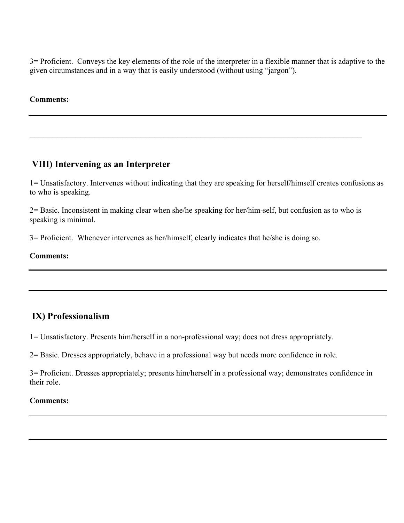3= Proficient. Conveys the key elements of the role of the interpreter in a flexible manner that is adaptive to the given circumstances and in a way that is easily understood (without using "jargon").

#### **Comments:**

## **VIII) Intervening as an Interpreter**

1= Unsatisfactory. Intervenes without indicating that they are speaking for herself/himself creates confusions as to who is speaking.

2= Basic. Inconsistent in making clear when she/he speaking for her/him-self, but confusion as to who is speaking is minimal.

 $\mathcal{L}_\text{max}$  and  $\mathcal{L}_\text{max}$  and  $\mathcal{L}_\text{max}$  and  $\mathcal{L}_\text{max}$  and  $\mathcal{L}_\text{max}$  and  $\mathcal{L}_\text{max}$ 

3= Proficient. Whenever intervenes as her/himself, clearly indicates that he/she is doing so.

#### **Comments:**

### **IX) Professionalism**

1= Unsatisfactory. Presents him/herself in a non-professional way; does not dress appropriately.

2= Basic. Dresses appropriately, behave in a professional way but needs more confidence in role.

3= Proficient. Dresses appropriately; presents him/herself in a professional way; demonstrates confidence in their role.

#### **Comments:**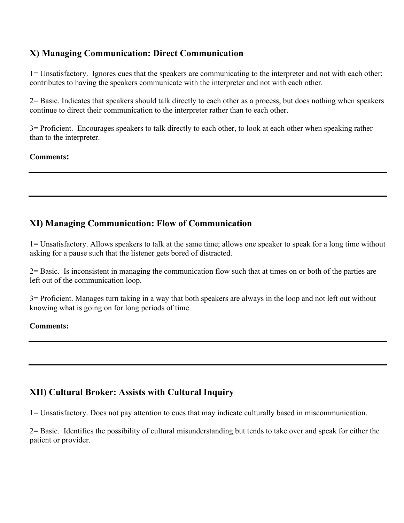# **X) Managing Communication: Direct Communication**

1= Unsatisfactory. Ignores cues that the speakers are communicating to the interpreter and not with each other; contributes to having the speakers communicate with the interpreter and not with each other.

2= Basic. Indicates that speakers should talk directly to each other as a process, but does nothing when speakers continue to direct their communication to the interpreter rather than to each other.

3= Proficient. Encourages speakers to talk directly to each other, to look at each other when speaking rather than to the interpreter.

### **Comments:**

## **XI) Managing Communication: Flow of Communication**

1= Unsatisfactory. Allows speakers to talk at the same time; allows one speaker to speak for a long time without asking for a pause such that the listener gets bored of distracted.

2= Basic. Is inconsistent in managing the communication flow such that at times on or both of the parties are left out of the communication loop.

3= Proficient. Manages turn taking in a way that both speakers are always in the loop and not left out without knowing what is going on for long periods of time.

#### **Comments:**

# **XII) Cultural Broker: Assists with Cultural Inquiry**

1= Unsatisfactory. Does not pay attention to cues that may indicate culturally based in miscommunication.

2= Basic. Identifies the possibility of cultural misunderstanding but tends to take over and speak for either the patient or provider.